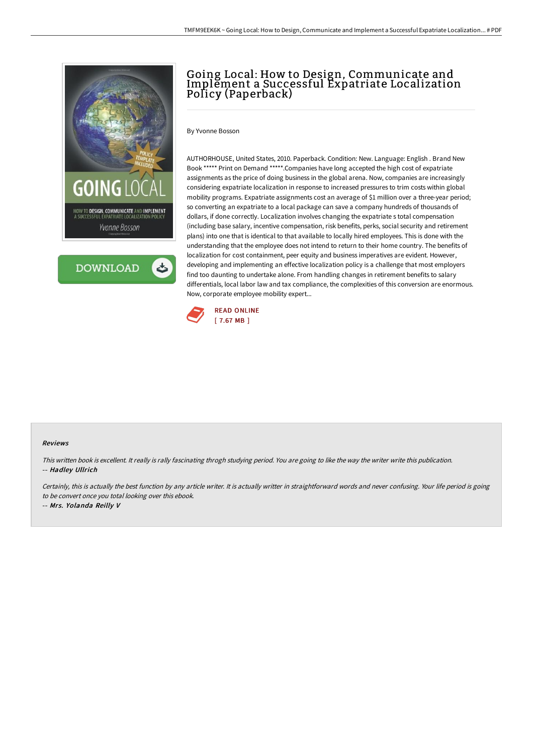



## Going Local: How to Design, Communicate and Implement a Successful Expatriate Localization Policy (Paperback)

By Yvonne Bosson

AUTHORHOUSE, United States, 2010. Paperback. Condition: New. Language: English . Brand New Book \*\*\*\*\* Print on Demand \*\*\*\*\*.Companies have long accepted the high cost of expatriate assignments as the price of doing business in the global arena. Now, companies are increasingly considering expatriate localization in response to increased pressures to trim costs within global mobility programs. Expatriate assignments cost an average of \$1 million over a three-year period; so converting an expatriate to a local package can save a company hundreds of thousands of dollars, if done correctly. Localization involves changing the expatriate s total compensation (including base salary, incentive compensation, risk benefits, perks, social security and retirement plans) into one that is identical to that available to locally hired employees. This is done with the understanding that the employee does not intend to return to their home country. The benefits of localization for cost containment, peer equity and business imperatives are evident. However, developing and implementing an effective localization policy is a challenge that most employers find too daunting to undertake alone. From handling changes in retirement benefits to salary differentials, local labor law and tax compliance, the complexities of this conversion are enormous. Now, corporate employee mobility expert...



## Reviews

This written book is excellent. It really is rally fascinating throgh studying period. You are going to like the way the writer write this publication. -- Hadley Ullrich

Certainly, this is actually the best function by any article writer. It is actually writter in straightforward words and never confusing. Your life period is going to be convert once you total looking over this ebook.

-- Mrs. Yolanda Reilly V